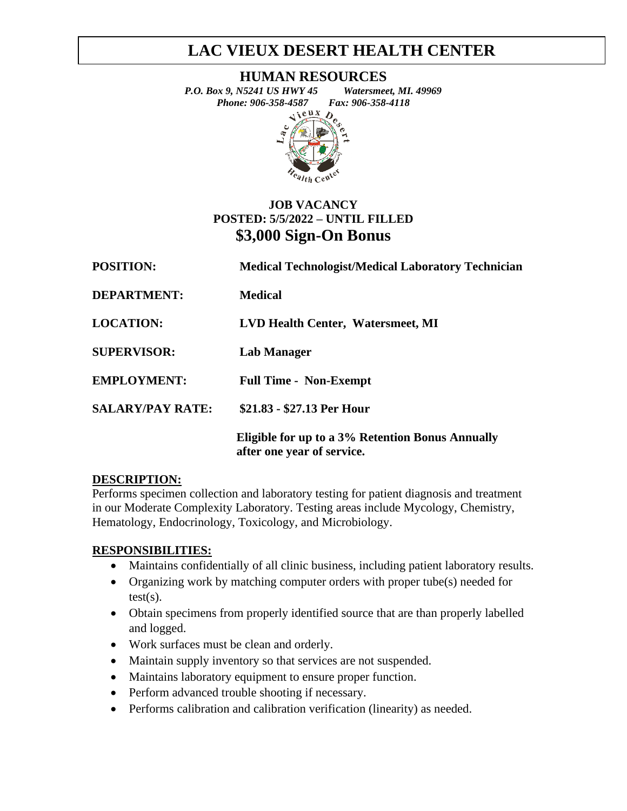# **LAC VIEUX DESERT HEALTH CENTER**

**HUMAN RESOURCES**

*P.O. Box 9, N5241 US HWY 45 Watersmeet, MI. 49969 Phone: 906-358-4587 Fax: 906-358-4118*<br>  $\leftrightarrow$   $\overline{R}$ 



### **JOB VACANCY POSTED: 5/5/2022 – UNTIL FILLED \$3,000 Sign-On Bonus**

| <b>POSITION:</b>        | <b>Medical Technologist/Medical Laboratory Technician</b>                      |
|-------------------------|--------------------------------------------------------------------------------|
| <b>DEPARTMENT:</b>      | <b>Medical</b>                                                                 |
| <b>LOCATION:</b>        | LVD Health Center, Watersmeet, MI                                              |
| <b>SUPERVISOR:</b>      | <b>Lab Manager</b>                                                             |
| <b>EMPLOYMENT:</b>      | <b>Full Time - Non-Exempt</b>                                                  |
| <b>SALARY/PAY RATE:</b> | \$21.83 - \$27.13 Per Hour                                                     |
|                         | Eligible for up to a 3% Retention Bonus Annually<br>after one year of service. |

### **DESCRIPTION:**

Performs specimen collection and laboratory testing for patient diagnosis and treatment in our Moderate Complexity Laboratory. Testing areas include Mycology, Chemistry, Hematology, Endocrinology, Toxicology, and Microbiology.

### **RESPONSIBILITIES:**

- Maintains confidentially of all clinic business, including patient laboratory results.
- Organizing work by matching computer orders with proper tube(s) needed for test(s).
- Obtain specimens from properly identified source that are than properly labelled and logged.
- Work surfaces must be clean and orderly.
- Maintain supply inventory so that services are not suspended.
- Maintains laboratory equipment to ensure proper function.
- Perform advanced trouble shooting if necessary.
- Performs calibration and calibration verification (linearity) as needed.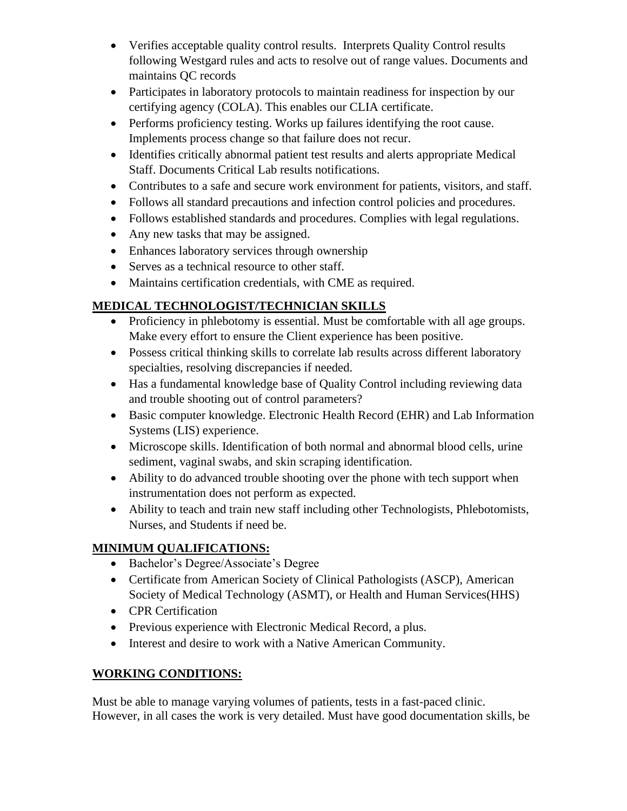- Verifies acceptable quality control results. Interprets Quality Control results following Westgard rules and acts to resolve out of range values. Documents and maintains QC records
- Participates in laboratory protocols to maintain readiness for inspection by our certifying agency (COLA). This enables our CLIA certificate.
- Performs proficiency testing. Works up failures identifying the root cause. Implements process change so that failure does not recur.
- Identifies critically abnormal patient test results and alerts appropriate Medical Staff. Documents Critical Lab results notifications.
- Contributes to a safe and secure work environment for patients, visitors, and staff.
- Follows all standard precautions and infection control policies and procedures.
- Follows established standards and procedures. Complies with legal regulations.
- Any new tasks that may be assigned.
- Enhances laboratory services through ownership
- Serves as a technical resource to other staff.
- Maintains certification credentials, with CME as required.

# **MEDICAL TECHNOLOGIST/TECHNICIAN SKILLS**

- Proficiency in phlebotomy is essential. Must be comfortable with all age groups. Make every effort to ensure the Client experience has been positive.
- Possess critical thinking skills to correlate lab results across different laboratory specialties, resolving discrepancies if needed.
- Has a fundamental knowledge base of Quality Control including reviewing data and trouble shooting out of control parameters?
- Basic computer knowledge. Electronic Health Record (EHR) and Lab Information Systems (LIS) experience.
- Microscope skills. Identification of both normal and abnormal blood cells, urine sediment, vaginal swabs, and skin scraping identification.
- Ability to do advanced trouble shooting over the phone with tech support when instrumentation does not perform as expected.
- Ability to teach and train new staff including other Technologists, Phlebotomists, Nurses, and Students if need be.

# **MINIMUM QUALIFICATIONS:**

- Bachelor's Degree/Associate's Degree
- Certificate from American Society of Clinical Pathologists (ASCP), American Society of Medical Technology (ASMT), or Health and Human Services(HHS)
- CPR Certification
- Previous experience with Electronic Medical Record, a plus.
- Interest and desire to work with a Native American Community.

# **WORKING CONDITIONS:**

Must be able to manage varying volumes of patients, tests in a fast-paced clinic. However, in all cases the work is very detailed. Must have good documentation skills, be